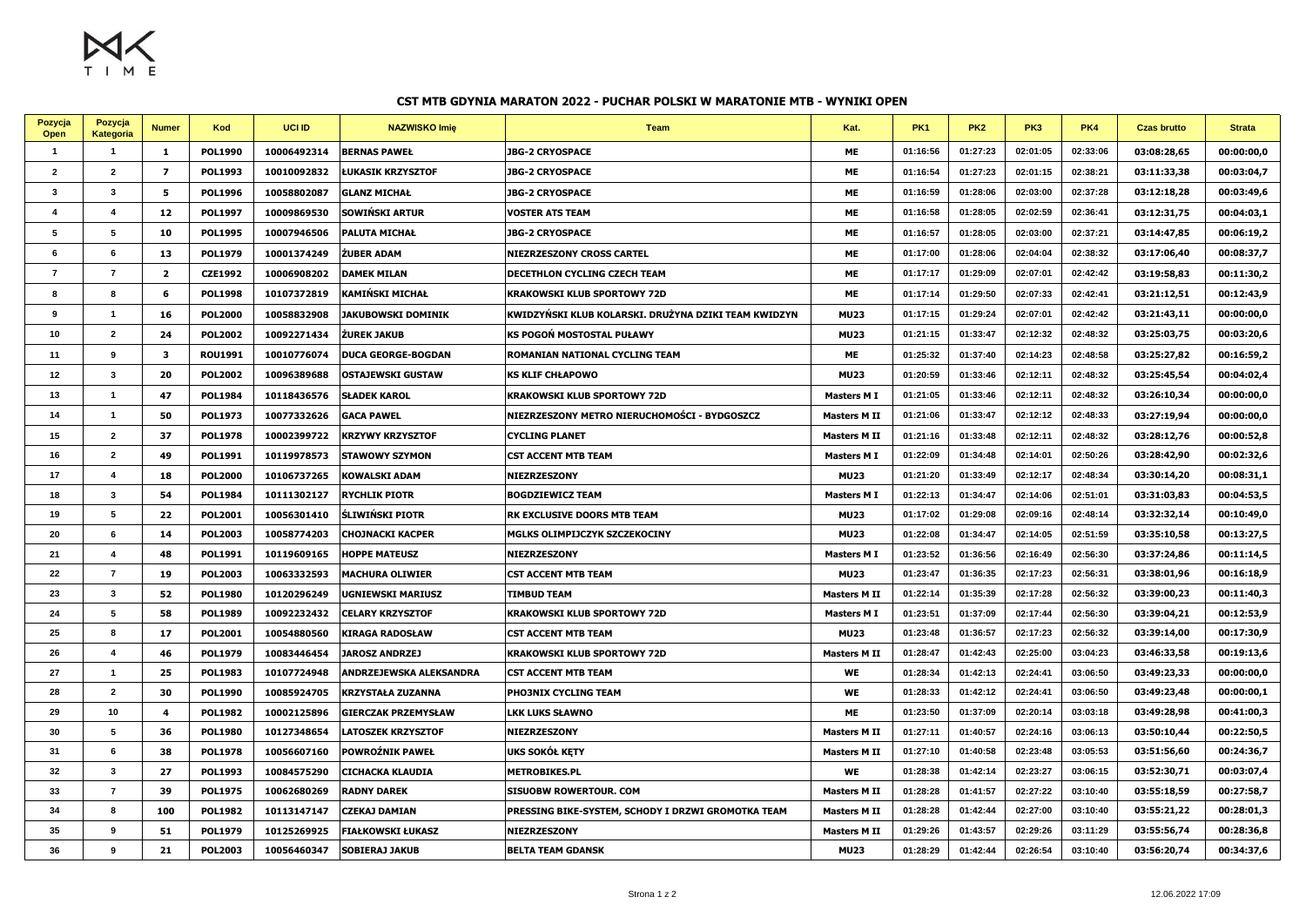$M_X$ 

## **CST MTB GDYNIA MARATON 2022 - PUCHAR POLSKI W MARATONIE MTB - WYNIKI OPEN**

| Pozycja<br>Open | Pozycja<br><b>Kategoria</b> | <b>Numer</b>   | Kod            | <b>UCI ID</b> | <b>NAZWISKO Imię</b>      | <b>Team</b>                                          | Kat.               | <b>PK1</b> | <b>PK2</b> | PK3      | PK4      | <b>Czas brutto</b> | <b>Strata</b> |
|-----------------|-----------------------------|----------------|----------------|---------------|---------------------------|------------------------------------------------------|--------------------|------------|------------|----------|----------|--------------------|---------------|
| $\overline{1}$  | $\mathbf{1}$                | $\mathbf{1}$   | <b>POL1990</b> | 10006492314   | <b>BERNAS PAWEŁ</b>       | <b>JBG-2 CRYOSPACE</b>                               | <b>ME</b>          | 01:16:56   | 01:27:23   | 02:01:05 | 02:33:06 | 03:08:28,65        | 00:00:00,0    |
| $\overline{2}$  | $\overline{2}$              | $\overline{z}$ | <b>POL1993</b> | 10010092832   | ŁUKASIK KRZYSZTOF         | <b>JBG-2 CRYOSPACE</b>                               | ME                 | 01:16:54   | 01:27:23   | 02:01:15 | 02:38:21 | 03:11:33,38        | 00:03:04,7    |
| $\mathbf{3}$    | $\mathbf{3}$                | 5              | <b>POL1996</b> | 10058802087   | <b>GLANZ MICHAŁ</b>       | <b>JBG-2 CRYOSPACE</b>                               | ME                 | 01:16:59   | 01:28:06   | 02:03:00 | 02:37:28 | 03:12:18,28        | 00:03:49,6    |
| $\overline{4}$  | $\overline{4}$              | 12             | <b>POL1997</b> | 10009869530   | SOWIŃSKI ARTUR            | <b>VOSTER ATS TEAM</b>                               | <b>ME</b>          | 01:16:58   | 01:28:05   | 02:02:59 | 02:36:41 | 03:12:31,75        | 00:04:03,1    |
| 5               | 5                           | 10             | <b>POL1995</b> | 10007946506   | <b>PALUTA MICHAŁ</b>      | <b>JBG-2 CRYOSPACE</b>                               | ME                 | 01:16:57   | 01:28:05   | 02:03:00 | 02:37:21 | 03:14:47,85        | 00:06:19,2    |
| 6               | 6                           | 13             | <b>POL1979</b> | 10001374249   | ŻUBER ADAM                | NIEZRZESZONY CROSS CARTEL                            | ME                 | 01:17:00   | 01:28:06   | 02:04:04 | 02:38:32 | 03:17:06,40        | 00:08:37,7    |
| $\overline{7}$  | $\overline{7}$              | $\overline{2}$ | <b>CZE1992</b> | 10006908202   | <b>DAMEK MILAN</b>        | DECETHLON CYCLING CZECH TEAM                         | <b>ME</b>          | 01:17:17   | 01:29:09   | 02:07:01 | 02:42:42 | 03:19:58,83        | 00:11:30,2    |
| 8               | 8                           | 6              | <b>POL1998</b> | 10107372819   | KAMIŃSKI MICHAŁ           | <b>KRAKOWSKI KLUB SPORTOWY 72D</b>                   | <b>ME</b>          | 01:17:14   | 01:29:50   | 02:07:33 | 02:42:41 | 03:21:12,51        | 00:12:43,9    |
| 9               | $\overline{1}$              | 16             | <b>POL2000</b> | 10058832908   | JAKUBOWSKI DOMINIK        | KWIDZYŃSKI KLUB KOLARSKI. DRUŻYNA DZIKI TEAM KWIDZYN | <b>MU23</b>        | 01:17:15   | 01:29:24   | 02:07:01 | 02:42:42 | 03:21:43,11        | 00:00:00,0    |
| 10              | $\overline{2}$              | 24             | <b>POL2002</b> | 10092271434   | ŻUREK JAKUB               | <b>KS POGOŃ MOSTOSTAL PUŁAWY</b>                     | <b>MU23</b>        | 01:21:15   | 01:33:47   | 02:12:32 | 02:48:32 | 03:25:03,75        | 00:03:20,6    |
| 11              | -9                          | 3              | <b>ROU1991</b> | 10010776074   | <b>DUCA GEORGE-BOGDAN</b> | ROMANIAN NATIONAL CYCLING TEAM                       | ME                 | 01:25:32   | 01:37:40   | 02:14:23 | 02:48:58 | 03:25:27,82        | 00:16:59,2    |
| 12              | $\mathbf{3}$                | 20             | <b>POL2002</b> | 10096389688   | <b>OSTAJEWSKI GUSTAW</b>  | <b>KS KLIF CHŁAPOWO</b>                              | <b>MU23</b>        | 01:20:59   | 01:33:46   | 02:12:11 | 02:48:32 | 03:25:45,54        | 00:04:02,4    |
| 13              | $\overline{1}$              | 47             | <b>POL1984</b> | 10118436576   | <b>SŁADEK KAROL</b>       | <b>KRAKOWSKI KLUB SPORTOWY 72D</b>                   | <b>Masters MI</b>  | 01:21:05   | 01:33:46   | 02:12:11 | 02:48:32 | 03:26:10,34        | 00:00:00,0    |
| 14              | $\mathbf{1}$                | 50             | <b>POL1973</b> | 10077332626   | <b>GACA PAWEL</b>         | NIEZRZESZONY METRO NIERUCHOMOŚCI - BYDGOSZCZ         | <b>Masters MII</b> | 01:21:06   | 01:33:47   | 02:12:12 | 02:48:33 | 03:27:19,94        | 00:00:00,0    |
| 15              | $\overline{2}$              | 37             | <b>POL1978</b> | 10002399722   | <b>KRZYWY KRZYSZTOF</b>   | <b>CYCLING PLANET</b>                                | <b>Masters MII</b> | 01:21:16   | 01:33:48   | 02:12:11 | 02:48:32 | 03:28:12,76        | 00:00:52,8    |
| 16              | $\overline{2}$              | 49             | <b>POL1991</b> | 10119978573   | <b>STAWOWY SZYMON</b>     | <b>CST ACCENT MTB TEAM</b>                           | <b>Masters MI</b>  | 01:22:09   | 01:34:48   | 02:14:01 | 02:50:26 | 03:28:42,90        | 00:02:32,6    |
| 17              | $\boldsymbol{\Lambda}$      | 18             | <b>POL2000</b> | 10106737265   | <b>KOWALSKI ADAM</b>      | NIEZRZESZONY                                         | <b>MU23</b>        | 01:21:20   | 01:33:49   | 02:12:17 | 02:48:34 | 03:30:14,20        | 00:08:31,1    |
| 18              | $\mathbf{3}$                | 54             | <b>POL1984</b> | 10111302127   | <b>RYCHLIK PIOTR</b>      | <b>BOGDZIEWICZ TEAM</b>                              | <b>Masters MI</b>  | 01:22:13   | 01:34:47   | 02:14:06 | 02:51:01 | 03:31:03,83        | 00:04:53,5    |
| 19              | 5                           | 22             | <b>POL2001</b> | 10056301410   | ŚLIWIŃSKI PIOTR           | RK EXCLUSIVE DOORS MTB TEAM                          | <b>MU23</b>        | 01:17:02   | 01:29:08   | 02:09:16 | 02:48:14 | 03:32:32,14        | 00:10:49,0    |
| 20              | 6                           | 14             | <b>POL2003</b> | 10058774203   | <b>CHOJNACKI KACPER</b>   | MGLKS OLIMPIJCZYK SZCZEKOCINY                        | <b>MU23</b>        | 01:22:08   | 01:34:47   | 02:14:05 | 02:51:59 | 03:35:10,58        | 00:13:27,5    |
| 21              | $\boldsymbol{\Delta}$       | 48             | <b>POL1991</b> | 10119609165   | <b>HOPPE MATEUSZ</b>      | NIEZRZESZONY                                         | <b>Masters M I</b> | 01:23:52   | 01:36:56   | 02:16:49 | 02:56:30 | 03:37:24,86        | 00:11:14,5    |
| 22              | $\overline{7}$              | 19             | <b>POL2003</b> | 10063332593   | <b>MACHURA OLIWIER</b>    | <b>CST ACCENT MTB TEAM</b>                           | <b>MU23</b>        | 01:23:47   | 01:36:35   | 02:17:23 | 02:56:31 | 03:38:01,96        | 00:16:18,9    |
| 23              | $\mathbf{3}$                | 52             | <b>POL1980</b> | 10120296249   | UGNIEWSKI MARIUSZ         | <b>TIMBUD TEAM</b>                                   | <b>Masters MII</b> | 01:22:14   | 01:35:39   | 02:17:28 | 02:56:32 | 03:39:00,23        | 00:11:40,3    |
| 24              | 5                           | 58             | <b>POL1989</b> | 10092232432   | <b>CELARY KRZYSZTOF</b>   | <b>KRAKOWSKI KLUB SPORTOWY 72D</b>                   | <b>Masters MI</b>  | 01:23:51   | 01:37:09   | 02:17:44 | 02:56:30 | 03:39:04,21        | 00:12:53,9    |
| 25              | 8                           | 17             | <b>POL2001</b> | 10054880560   | KIRAGA RADOSŁAW           | <b>CST ACCENT MTB TEAM</b>                           | <b>MU23</b>        | 01:23:48   | 01:36:57   | 02:17:23 | 02:56:32 | 03:39:14,00        | 00:17:30,9    |
| 26              | $\overline{\mathbf{4}}$     | 46             | <b>POL1979</b> | 10083446454   | <b>JAROSZ ANDRZEJ</b>     | <b>KRAKOWSKI KLUB SPORTOWY 72D</b>                   | <b>Masters MII</b> | 01:28:47   | 01:42:43   | 02:25:00 | 03:04:23 | 03:46:33,58        | 00:19:13,6    |
| 27              | $\overline{1}$              | 25             | <b>POL1983</b> | 10107724948   | ANDRZEJEWSKA ALEKSANDRA   | <b>CST ACCENT MTB TEAM</b>                           | <b>WE</b>          | 01:28:34   | 01:42:13   | 02:24:41 | 03:06:50 | 03:49:23,33        | 00:00:00,0    |
| 28              | $\overline{2}$              | 30             | <b>POL1990</b> | 10085924705   | KRZYSTAŁA ZUZANNA         | <b>PHO3NIX CYCLING TEAM</b>                          | <b>WE</b>          | 01:28:33   | 01:42:12   | 02:24:41 | 03:06:50 | 03:49:23,48        | 00:00:00,1    |
| 29              | 10                          | 4              | <b>POL1982</b> | 10002125896   | GIERCZAK PRZEMYSŁAW       | <b>LKK LUKS SŁAWNO</b>                               | ME                 | 01:23:50   | 01:37:09   | 02:20:14 | 03:03:18 | 03:49:28,98        | 00:41:00,3    |
| 30              | 5                           | 36             | <b>POL1980</b> | 10127348654   | <b>LATOSZEK KRZYSZTOF</b> | NIEZRZESZONY                                         | <b>Masters MII</b> | 01:27:11   | 01:40:57   | 02:24:16 | 03:06:13 | 03:50:10,44        | 00:22:50,5    |
| 31              | 6                           | 38             | <b>POL1978</b> | 10056607160   | POWROŹNIK PAWEŁ           | UKS SOKÓŁ KETY                                       | <b>Masters MII</b> | 01:27:10   | 01:40:58   | 02:23:48 | 03:05:53 | 03:51:56,60        | 00:24:36,7    |
| 32              | $\mathbf{3}$                | 27             | <b>POL1993</b> | 10084575290   | CICHACKA KLAUDIA          | <b>METROBIKES.PL</b>                                 | WE                 | 01:28:38   | 01:42:14   | 02:23:27 | 03:06:15 | 03:52:30,71        | 00:03:07,4    |
| 33              | $\overline{7}$              | 39             | <b>POL1975</b> | 10062680269   | <b>RADNY DAREK</b>        | <b>SISUOBW ROWERTOUR. COM</b>                        | <b>Masters MII</b> | 01:28:28   | 01:41:57   | 02:27:22 | 03:10:40 | 03:55:18,59        | 00:27:58,7    |
| 34              | 8                           | 100            | <b>POL1982</b> | 10113147147   | CZEKAJ DAMIAN             | PRESSING BIKE-SYSTEM, SCHODY I DRZWI GROMOTKA TEAM   | <b>Masters MII</b> | 01:28:28   | 01:42:44   | 02:27:00 | 03:10:40 | 03:55:21,22        | 00:28:01,3    |
| 35              | 9                           | 51             | <b>POL1979</b> | 10125269925   | <b>FIAŁKOWSKI ŁUKASZ</b>  | <b>NIEZRZESZONY</b>                                  | <b>Masters MII</b> | 01:29:26   | 01:43:57   | 02:29:26 | 03:11:29 | 03:55:56,74        | 00:28:36,8    |
| 36              | $\mathbf{q}$                | 21             | <b>POL2003</b> | 10056460347   | <b>SOBIERAJ JAKUB</b>     | <b>BELTA TEAM GDANSK</b>                             | <b>MU23</b>        | 01:28:29   | 01:42:44   | 02:26:54 | 03:10:40 | 03:56:20,74        | 00:34:37,6    |